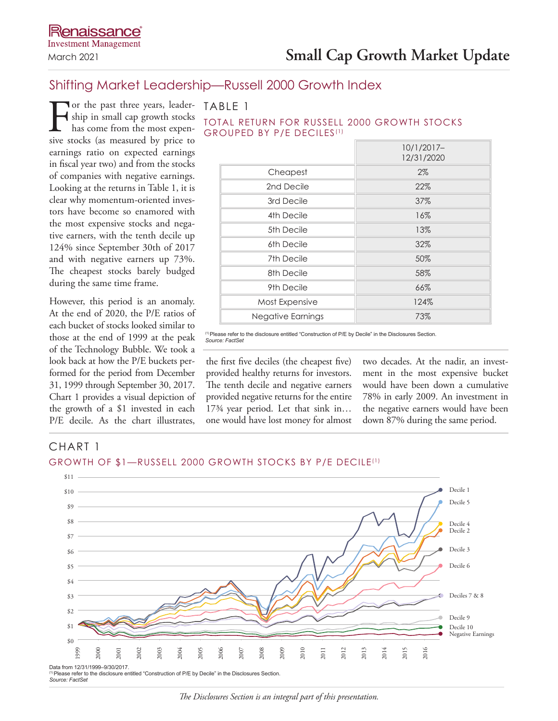## Shifting Market Leadership—Russell 2000 Growth Index

TABLE 1

GROUPED BY P/E DECILES<sup>(1)</sup>

For the past three years, leader-<br>ship in small cap growth stocks<br>has come from the most expen-<br>sive stocks (as measured by price to ship in small cap growth stocks has come from the most expensive stocks (as measured by price to earnings ratio on expected earnings in fiscal year two) and from the stocks of companies with negative earnings. Looking at the returns in Table 1, it is clear why momentum-oriented investors have become so enamored with the most expensive stocks and negative earners, with the tenth decile up 124% since September 30th of 2017 and with negative earners up 73%. The cheapest stocks barely budged during the same time frame.

However, this period is an anomaly. At the end of 2020, the P/E ratios of each bucket of stocks looked similar to those at the end of 1999 at the peak of the Technology Bubble. We took a look back at how the P/E buckets performed for the period from December 31, 1999 through September 30, 2017. Chart 1 provides a visual depiction of the growth of a \$1 invested in each P/E decile. As the chart illustrates,

| $10/1/2017-$<br>12/31/2020 |
|----------------------------|
| 2%                         |
| 22%                        |
| 37%                        |
| 16%                        |
| 13%                        |
| 32%                        |
| 50%                        |
| 58%                        |
| 66%                        |
| 124%                       |
| 73%                        |
|                            |

TOTAL RETURN FOR RUSSELL 2000 GROWTH STOCKS

(1)Please refer to the disclosure entitled "Construction of P/E by Decile" in the Disclosures Section. *Source: FactSet*

the first five deciles (the cheapest five) provided healthy returns for investors. The tenth decile and negative earners provided negative returns for the entire 17<sup>3</sup>/4 year period. Let that sink in... one would have lost money for almost two decades. At the nadir, an investment in the most expensive bucket would have been down a cumulative 78% in early 2009. An investment in the negative earners would have been down 87% during the same period.

## CHART 1 GROWTH OF \$1-RUSSELL 2000 GROWTH STOCKS BY P/E DECILE<sup>(1)</sup>



*The Disclosures Section is an integral part of this presentation.*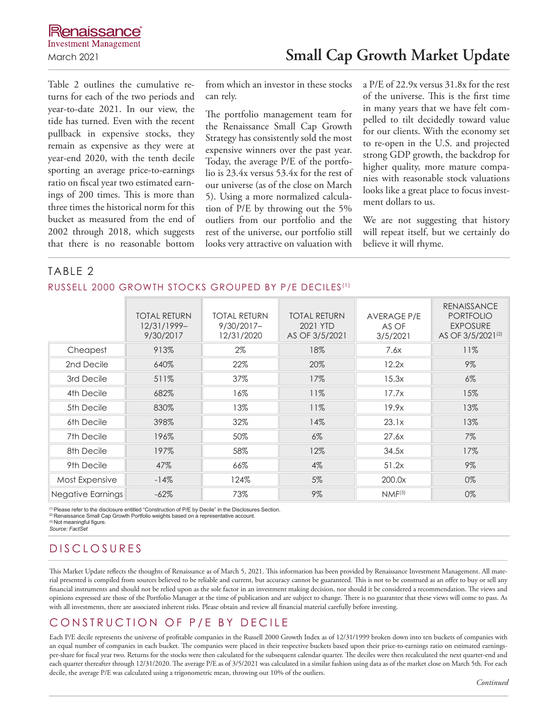Table 2 outlines the cumulative returns for each of the two periods and year-to-date 2021. In our view, the tide has turned. Even with the recent pullback in expensive stocks, they remain as expensive as they were at year-end 2020, with the tenth decile sporting an average price-to-earnings ratio on fiscal year two estimated earnings of 200 times. This is more than three times the historical norm for this bucket as measured from the end of 2002 through 2018, which suggests that there is no reasonable bottom from which an investor in these stocks can rely.

The portfolio management team for the Renaissance Small Cap Growth Strategy has consistently sold the most expensive winners over the past year. Today, the average P/E of the portfolio is 23.4x versus 53.4x for the rest of our universe (as of the close on March 5). Using a more normalized calculation of P/E by throwing out the 5% outliers from our portfolio and the rest of the universe, our portfolio still looks very attractive on valuation with a P/E of 22.9x versus 31.8x for the rest of the universe. This is the first time in many years that we have felt compelled to tilt decidedly toward value for our clients. With the economy set to re-open in the U.S. and projected strong GDP growth, the backdrop for higher quality, more mature companies with reasonable stock valuations looks like a great place to focus investment dollars to us.

We are not suggesting that history will repeat itself, but we certainly do believe it will rhyme.

## TABLE 2 RUSSELL 2000 GROWTH STOCKS GROUPED BY P/E DECILES<sup>(1)</sup>

|                          | <b>TOTAL RETURN</b><br>12/31/1999-<br>9/30/2017 | <b>TOTAL RETURN</b><br>$9/30/2017 -$<br>12/31/2020 | <b>TOTAL RETURN</b><br>2021 YTD<br>AS OF 3/5/2021 | AVERAGE P/E<br>AS OF<br>3/5/2021 | <b>RENAISSANCE</b><br><b>PORTFOLIO</b><br><b>EXPOSURE</b><br>AS OF 3/5/2021 <sup>(2)</sup> |
|--------------------------|-------------------------------------------------|----------------------------------------------------|---------------------------------------------------|----------------------------------|--------------------------------------------------------------------------------------------|
| Cheapest                 | 913%                                            | 2%                                                 | 18%                                               | 7.6x                             | 11%                                                                                        |
| 2nd Decile               | 640%                                            | 22%                                                | 20%                                               | 12.2x                            | 9%                                                                                         |
| 3rd Decile               | 511%                                            | 37%                                                | 17%                                               | 15.3x                            | $6\%$                                                                                      |
| 4th Decile               | 682%                                            | 16%                                                | 11%                                               | 17.7x                            | 15%                                                                                        |
| 5th Decile               | 830%                                            | 13%                                                | 11%                                               | 19.9x                            | 13%                                                                                        |
| 6th Decile               | 398%                                            | 32%                                                | 14%                                               | 23.1x                            | 13%                                                                                        |
| 7th Decile               | 196%                                            | 50%                                                | $6\%$                                             | 27.6x                            | $7\%$                                                                                      |
| 8th Decile               | 197%                                            | 58%                                                | 12%                                               | 34.5x                            | 17%                                                                                        |
| 9th Decile               | 47%                                             | 66%                                                | 4%                                                | 51.2x                            | $9\%$                                                                                      |
| Most Expensive           | $-14%$                                          | 124%                                               | 5%                                                | 200.0x                           | 0%                                                                                         |
| <b>Negative Earnings</b> | $-62%$                                          | 73%                                                | $9\%$                                             | NMF <sup>(3)</sup>               | 0%                                                                                         |

(1)Please refer to the disclosure entitled "Construction of P/E by Decile" in the Disclosures Section.

(2) Renaissance Small Cap Growth Portfolio weights based on a representative account.

(3) Not meaningful figure. *Source: FactSet*

## DISCLOSURES

This Market Update reflects the thoughts of Renaissance as of March 5, 2021. This information has been provided by Renaissance Investment Management. All material presented is compiled from sources believed to be reliable and current, but accuracy cannot be guaranteed. This is not to be construed as an offer to buy or sell any financial instruments and should not be relied upon as the sole factor in an investment making decision, nor should it be considered a recommendation. The views and opinions expressed are those of the Portfolio Manager at the time of publication and are subject to change. There is no guarantee that these views will come to pass. As with all investments, there are associated inherent risks. Please obtain and review all financial material carefully before investing.

## CONSTRUCTION OF P/E BY DECILE

Each P/E decile represents the universe of profitable companies in the Russell 2000 Growth Index as of 12/31/1999 broken down into ten buckets of companies with an equal number of companies in each bucket. The companies were placed in their respective buckets based upon their price-to-earnings ratio on estimated earningsper-share for fiscal year two. Returns for the stocks were then calculated for the subsequent calendar quarter. The deciles were then recalculated the next quarter-end and each quarter thereafter through 12/31/2020. The average P/E as of 3/5/2021 was calculated in a similar fashion using data as of the market close on March 5th. For each decile, the average P/E was calculated using a trigonometric mean, throwing out 10% of the outliers.